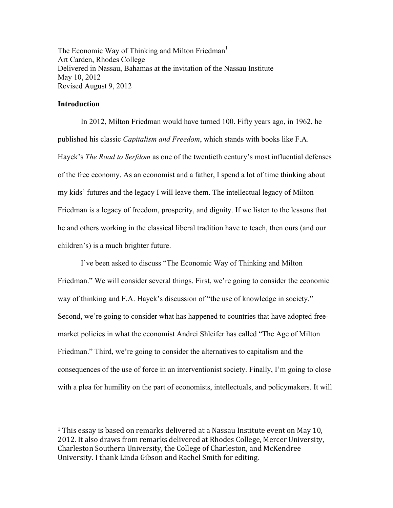The Economic Way of Thinking and Milton Friedman<sup>1</sup> Art Carden, Rhodes College Delivered in Nassau, Bahamas at the invitation of the Nassau Institute May 10, 2012 Revised August 9, 2012

## **Introduction**

 

In 2012, Milton Friedman would have turned 100. Fifty years ago, in 1962, he published his classic *Capitalism and Freedom*, which stands with books like F.A. Hayek's *The Road to Serfdom* as one of the twentieth century's most influential defenses of the free economy. As an economist and a father, I spend a lot of time thinking about my kids' futures and the legacy I will leave them. The intellectual legacy of Milton Friedman is a legacy of freedom, prosperity, and dignity. If we listen to the lessons that he and others working in the classical liberal tradition have to teach, then ours (and our children's) is a much brighter future.

I've been asked to discuss "The Economic Way of Thinking and Milton Friedman." We will consider several things. First, we're going to consider the economic way of thinking and F.A. Hayek's discussion of "the use of knowledge in society." Second, we're going to consider what has happened to countries that have adopted freemarket policies in what the economist Andrei Shleifer has called "The Age of Milton Friedman." Third, we're going to consider the alternatives to capitalism and the consequences of the use of force in an interventionist society. Finally, I'm going to close with a plea for humility on the part of economists, intellectuals, and policymakers. It will

 $1$  This essay is based on remarks delivered at a Nassau Institute event on May 10, 2012. It also draws from remarks delivered at Rhodes College, Mercer University, Charleston Southern University, the College of Charleston, and McKendree University. I thank Linda Gibson and Rachel Smith for editing.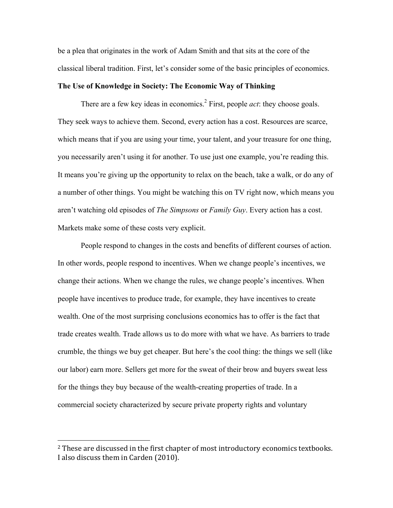be a plea that originates in the work of Adam Smith and that sits at the core of the classical liberal tradition. First, let's consider some of the basic principles of economics.

# **The Use of Knowledge in Society: The Economic Way of Thinking**

There are a few key ideas in economics. 2 First, people *act*: they choose goals. They seek ways to achieve them. Second, every action has a cost. Resources are scarce, which means that if you are using your time, your talent, and your treasure for one thing, you necessarily aren't using it for another. To use just one example, you're reading this. It means you're giving up the opportunity to relax on the beach, take a walk, or do any of a number of other things. You might be watching this on TV right now, which means you aren't watching old episodes of *The Simpsons* or *Family Guy*. Every action has a cost. Markets make some of these costs very explicit.

People respond to changes in the costs and benefits of different courses of action. In other words, people respond to incentives. When we change people's incentives, we change their actions. When we change the rules, we change people's incentives. When people have incentives to produce trade, for example, they have incentives to create wealth. One of the most surprising conclusions economics has to offer is the fact that trade creates wealth. Trade allows us to do more with what we have. As barriers to trade crumble, the things we buy get cheaper. But here's the cool thing: the things we sell (like our labor) earn more. Sellers get more for the sweat of their brow and buyers sweat less for the things they buy because of the wealth-creating properties of trade. In a commercial society characterized by secure private property rights and voluntary

 

<sup>&</sup>lt;sup>2</sup> These are discussed in the first chapter of most introductory economics textbooks. I also discuss them in Carden (2010).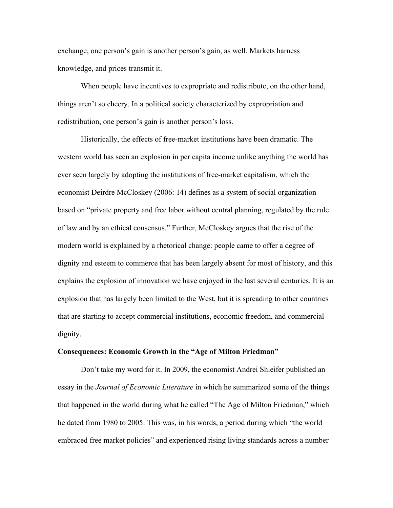exchange, one person's gain is another person's gain, as well. Markets harness knowledge, and prices transmit it.

When people have incentives to expropriate and redistribute, on the other hand, things aren't so cheery. In a political society characterized by expropriation and redistribution, one person's gain is another person's loss.

Historically, the effects of free-market institutions have been dramatic. The western world has seen an explosion in per capita income unlike anything the world has ever seen largely by adopting the institutions of free-market capitalism, which the economist Deirdre McCloskey (2006: 14) defines as a system of social organization based on "private property and free labor without central planning, regulated by the rule of law and by an ethical consensus." Further, McCloskey argues that the rise of the modern world is explained by a rhetorical change: people came to offer a degree of dignity and esteem to commerce that has been largely absent for most of history, and this explains the explosion of innovation we have enjoyed in the last several centuries. It is an explosion that has largely been limited to the West, but it is spreading to other countries that are starting to accept commercial institutions, economic freedom, and commercial dignity.

#### **Consequences: Economic Growth in the "Age of Milton Friedman"**

Don't take my word for it. In 2009, the economist Andrei Shleifer published an essay in the *Journal of Economic Literature* in which he summarized some of the things that happened in the world during what he called "The Age of Milton Friedman," which he dated from 1980 to 2005. This was, in his words, a period during which "the world embraced free market policies" and experienced rising living standards across a number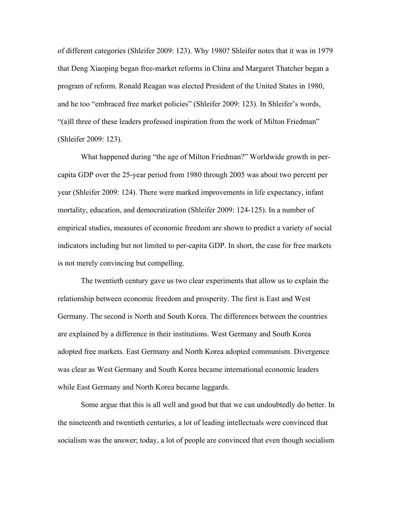of different categories (Shleifer 2009: 123). Why 1980? Shleifer notes that it was in 1979 that Deng Xiaoping began free-market reforms in China and Margaret Thatcher began a program of reform. Ronald Reagan was elected President of the United States in 1980, and he too "embraced free market policies" (Shleifer 2009: 123). In Shleifer's words, "(a)ll three of these leaders professed inspiration from the work of Milton Friedman" (Shleifer 2009: 123).

What happened during "the age of Milton Friedman?" Worldwide growth in percapita GDP over the 25-year period from 1980 through 2005 was about two percent per year (Shleifer 2009: 124). There were marked improvements in life expectancy, infant mortality, education, and democratization (Shleifer 2009: 124-125). In a number of empirical studies, measures of economic freedom are shown to predict a variety of social indicators including but not limited to per-capita GDP. In short, the case for free markets is not merely convincing but compelling.

The twentieth century gave us two clear experiments that allow us to explain the relationship between economic freedom and prosperity. The first is East and West Germany. The second is North and South Korea. The differences between the countries are explained by a difference in their institutions. West Germany and South Korea adopted free markets. East Germany and North Korea adopted communism. Divergence was clear as West Germany and South Korea became international economic leaders while East Germany and North Korea became laggards.

Some argue that this is all well and good but that we can undoubtedly do better. In the nineteenth and twentieth centuries, a lot of leading intellectuals were convinced that socialism was the answer; today, a lot of people are convinced that even though socialism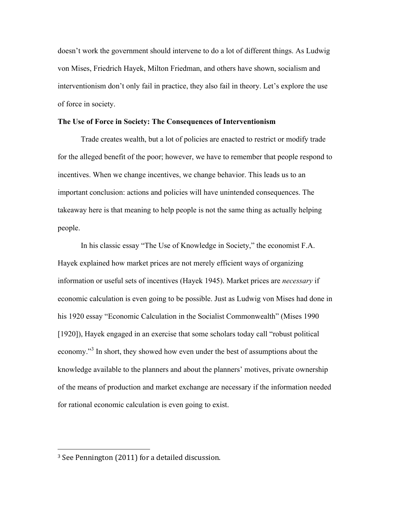doesn't work the government should intervene to do a lot of different things. As Ludwig von Mises, Friedrich Hayek, Milton Friedman, and others have shown, socialism and interventionism don't only fail in practice, they also fail in theory. Let's explore the use of force in society.

### **The Use of Force in Society: The Consequences of Interventionism**

Trade creates wealth, but a lot of policies are enacted to restrict or modify trade for the alleged benefit of the poor; however, we have to remember that people respond to incentives. When we change incentives, we change behavior. This leads us to an important conclusion: actions and policies will have unintended consequences. The takeaway here is that meaning to help people is not the same thing as actually helping people.

In his classic essay "The Use of Knowledge in Society," the economist F.A. Hayek explained how market prices are not merely efficient ways of organizing information or useful sets of incentives (Hayek 1945). Market prices are *necessary* if economic calculation is even going to be possible. Just as Ludwig von Mises had done in his 1920 essay "Economic Calculation in the Socialist Commonwealth" (Mises 1990 [1920]), Hayek engaged in an exercise that some scholars today call "robust political economy."<sup>3</sup> In short, they showed how even under the best of assumptions about the knowledge available to the planners and about the planners' motives, private ownership of the means of production and market exchange are necessary if the information needed for rational economic calculation is even going to exist.

 

 $3$  See Pennington (2011) for a detailed discussion.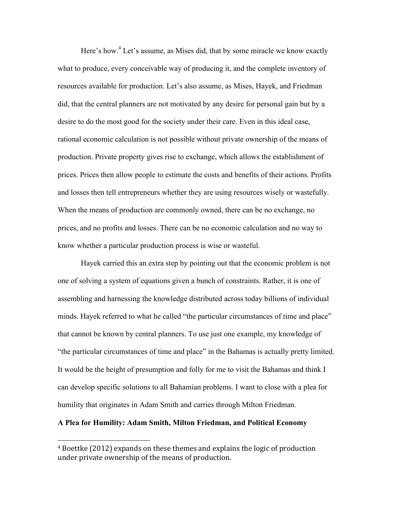Here's how.<sup>4</sup> Let's assume, as Mises did, that by some miracle we know exactly what to produce, every conceivable way of producing it, and the complete inventory of resources available for production. Let's also assume, as Mises, Hayek, and Friedman did, that the central planners are not motivated by any desire for personal gain but by a desire to do the most good for the society under their care. Even in this ideal case, rational economic calculation is not possible without private ownership of the means of production. Private property gives rise to exchange, which allows the establishment of prices. Prices then allow people to estimate the costs and benefits of their actions. Profits and losses then tell entrepreneurs whether they are using resources wisely or wastefully. When the means of production are commonly owned, there can be no exchange, no prices, and no profits and losses. There can be no economic calculation and no way to know whether a particular production process is wise or wasteful.

Hayek carried this an extra step by pointing out that the economic problem is not one of solving a system of equations given a bunch of constraints. Rather, it is one of assembling and harnessing the knowledge distributed across today billions of individual minds. Hayek referred to what he called "the particular circumstances of time and place" that cannot be known by central planners. To use just one example, my knowledge of "the particular circumstances of time and place" in the Bahamas is actually pretty limited. It would be the height of presumption and folly for me to visit the Bahamas and think I can develop specific solutions to all Bahamian problems. I want to close with a plea for humility that originates in Adam Smith and carries through Milton Friedman.

# **A Plea for Humility: Adam Smith, Milton Friedman, and Political Economy**

 

 $4$  Boettke (2012) expands on these themes and explains the logic of production under private ownership of the means of production.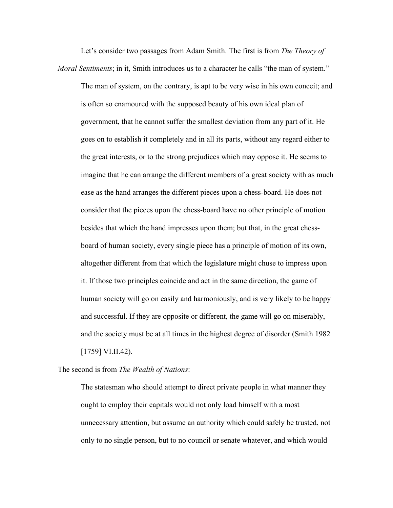Let's consider two passages from Adam Smith. The first is from *The Theory of Moral Sentiments*; in it, Smith introduces us to a character he calls "the man of system."

The man of system, on the contrary, is apt to be very wise in his own conceit; and is often so enamoured with the supposed beauty of his own ideal plan of government, that he cannot suffer the smallest deviation from any part of it. He goes on to establish it completely and in all its parts, without any regard either to the great interests, or to the strong prejudices which may oppose it. He seems to imagine that he can arrange the different members of a great society with as much ease as the hand arranges the different pieces upon a chess-board. He does not consider that the pieces upon the chess-board have no other principle of motion besides that which the hand impresses upon them; but that, in the great chessboard of human society, every single piece has a principle of motion of its own, altogether different from that which the legislature might chuse to impress upon it. If those two principles coincide and act in the same direction, the game of human society will go on easily and harmoniously, and is very likely to be happy and successful. If they are opposite or different, the game will go on miserably, and the society must be at all times in the highest degree of disorder (Smith 1982 [1759] VI.II.42).

The second is from *The Wealth of Nations*:

The statesman who should attempt to direct private people in what manner they ought to employ their capitals would not only load himself with a most unnecessary attention, but assume an authority which could safely be trusted, not only to no single person, but to no council or senate whatever, and which would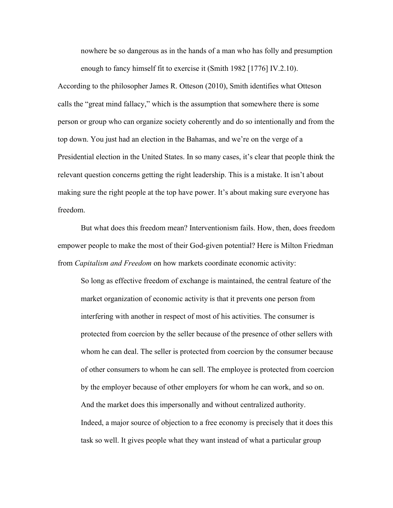nowhere be so dangerous as in the hands of a man who has folly and presumption enough to fancy himself fit to exercise it (Smith 1982 [1776] IV.2.10).

According to the philosopher James R. Otteson (2010), Smith identifies what Otteson calls the "great mind fallacy," which is the assumption that somewhere there is some person or group who can organize society coherently and do so intentionally and from the top down. You just had an election in the Bahamas, and we're on the verge of a Presidential election in the United States. In so many cases, it's clear that people think the relevant question concerns getting the right leadership. This is a mistake. It isn't about making sure the right people at the top have power. It's about making sure everyone has freedom.

But what does this freedom mean? Interventionism fails. How, then, does freedom empower people to make the most of their God-given potential? Here is Milton Friedman from *Capitalism and Freedom* on how markets coordinate economic activity:

So long as effective freedom of exchange is maintained, the central feature of the market organization of economic activity is that it prevents one person from interfering with another in respect of most of his activities. The consumer is protected from coercion by the seller because of the presence of other sellers with whom he can deal. The seller is protected from coercion by the consumer because of other consumers to whom he can sell. The employee is protected from coercion by the employer because of other employers for whom he can work, and so on. And the market does this impersonally and without centralized authority. Indeed, a major source of objection to a free economy is precisely that it does this task so well. It gives people what they want instead of what a particular group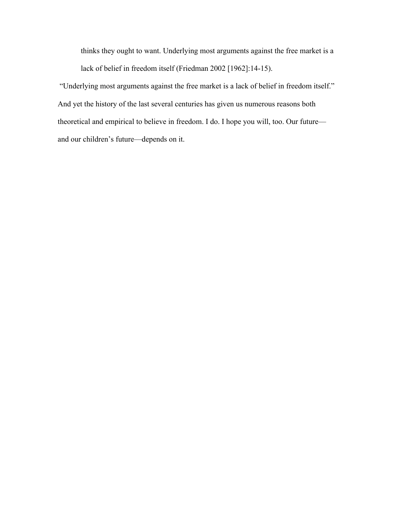thinks they ought to want. Underlying most arguments against the free market is a lack of belief in freedom itself (Friedman 2002 [1962]:14-15).

 "Underlying most arguments against the free market is a lack of belief in freedom itself." And yet the history of the last several centuries has given us numerous reasons both theoretical and empirical to believe in freedom. I do. I hope you will, too. Our future and our children's future—depends on it.